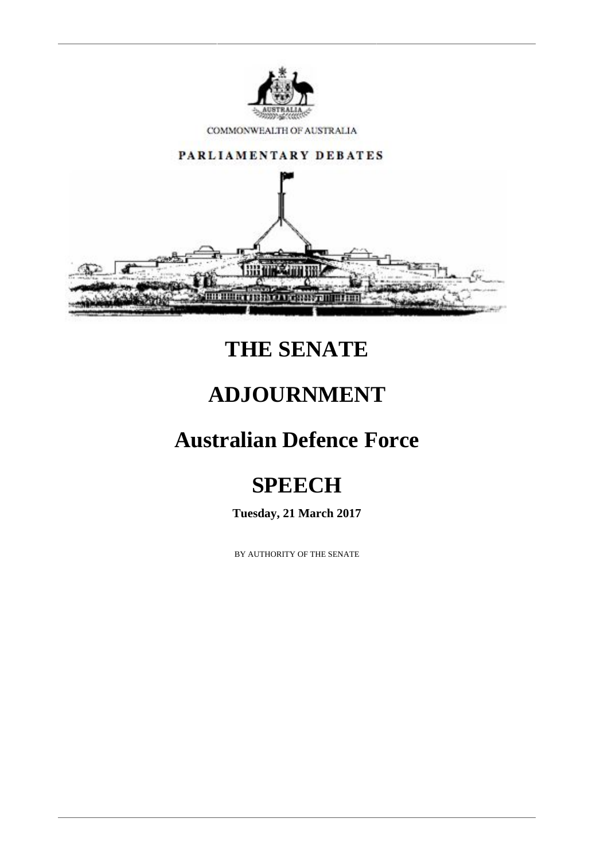

COMMONWEALTH OF AUSTRALIA



## **THE SENATE**

#### **ADJOURNMENT**

## **Australian Defence Force**

# **SPEECH**

**Tuesday, 21 March 2017**

BY AUTHORITY OF THE SENATE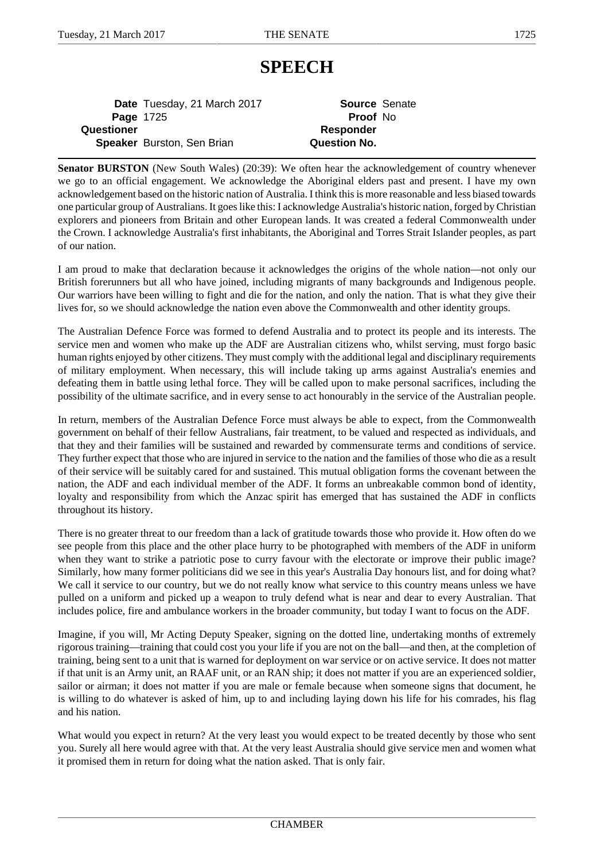#### **SPEECH**

**Date** Tuesday, 21 March 2017 **Source** Senate Page 1725 **Proof** No **Questioner Responder Speaker** Burston, Sen Brian **Question No.** 

**Senator BURSTON** (New South Wales) (20:39): We often hear the acknowledgement of country whenever we go to an official engagement. We acknowledge the Aboriginal elders past and present. I have my own acknowledgement based on the historic nation of Australia. I think this is more reasonable and less biased towards one particular group of Australians. It goes like this: I acknowledge Australia's historic nation, forged by Christian explorers and pioneers from Britain and other European lands. It was created a federal Commonwealth under the Crown. I acknowledge Australia's first inhabitants, the Aboriginal and Torres Strait Islander peoples, as part of our nation.

I am proud to make that declaration because it acknowledges the origins of the whole nation—not only our British forerunners but all who have joined, including migrants of many backgrounds and Indigenous people. Our warriors have been willing to fight and die for the nation, and only the nation. That is what they give their lives for, so we should acknowledge the nation even above the Commonwealth and other identity groups.

The Australian Defence Force was formed to defend Australia and to protect its people and its interests. The service men and women who make up the ADF are Australian citizens who, whilst serving, must forgo basic human rights enjoyed by other citizens. They must comply with the additional legal and disciplinary requirements of military employment. When necessary, this will include taking up arms against Australia's enemies and defeating them in battle using lethal force. They will be called upon to make personal sacrifices, including the possibility of the ultimate sacrifice, and in every sense to act honourably in the service of the Australian people.

In return, members of the Australian Defence Force must always be able to expect, from the Commonwealth government on behalf of their fellow Australians, fair treatment, to be valued and respected as individuals, and that they and their families will be sustained and rewarded by commensurate terms and conditions of service. They further expect that those who are injured in service to the nation and the families of those who die as a result of their service will be suitably cared for and sustained. This mutual obligation forms the covenant between the nation, the ADF and each individual member of the ADF. It forms an unbreakable common bond of identity, loyalty and responsibility from which the Anzac spirit has emerged that has sustained the ADF in conflicts throughout its history.

There is no greater threat to our freedom than a lack of gratitude towards those who provide it. How often do we see people from this place and the other place hurry to be photographed with members of the ADF in uniform when they want to strike a patriotic pose to curry favour with the electorate or improve their public image? Similarly, how many former politicians did we see in this year's Australia Day honours list, and for doing what? We call it service to our country, but we do not really know what service to this country means unless we have pulled on a uniform and picked up a weapon to truly defend what is near and dear to every Australian. That includes police, fire and ambulance workers in the broader community, but today I want to focus on the ADF.

Imagine, if you will, Mr Acting Deputy Speaker, signing on the dotted line, undertaking months of extremely rigorous training—training that could cost you your life if you are not on the ball—and then, at the completion of training, being sent to a unit that is warned for deployment on war service or on active service. It does not matter if that unit is an Army unit, an RAAF unit, or an RAN ship; it does not matter if you are an experienced soldier, sailor or airman; it does not matter if you are male or female because when someone signs that document, he is willing to do whatever is asked of him, up to and including laying down his life for his comrades, his flag and his nation.

What would you expect in return? At the very least you would expect to be treated decently by those who sent you. Surely all here would agree with that. At the very least Australia should give service men and women what it promised them in return for doing what the nation asked. That is only fair.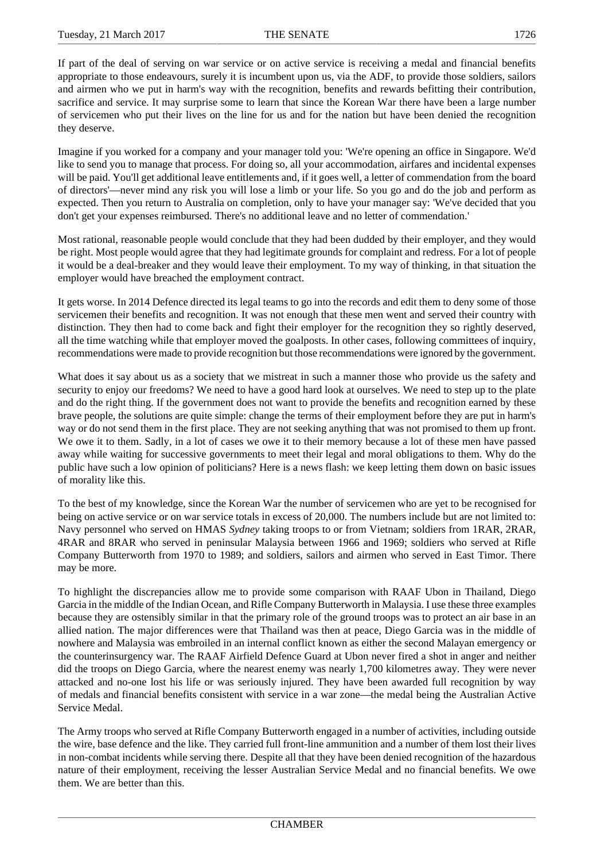If part of the deal of serving on war service or on active service is receiving a medal and financial benefits appropriate to those endeavours, surely it is incumbent upon us, via the ADF, to provide those soldiers, sailors and airmen who we put in harm's way with the recognition, benefits and rewards befitting their contribution, sacrifice and service. It may surprise some to learn that since the Korean War there have been a large number of servicemen who put their lives on the line for us and for the nation but have been denied the recognition they deserve.

Imagine if you worked for a company and your manager told you: 'We're opening an office in Singapore. We'd like to send you to manage that process. For doing so, all your accommodation, airfares and incidental expenses will be paid. You'll get additional leave entitlements and, if it goes well, a letter of commendation from the board of directors'—never mind any risk you will lose a limb or your life. So you go and do the job and perform as expected. Then you return to Australia on completion, only to have your manager say: 'We've decided that you don't get your expenses reimbursed. There's no additional leave and no letter of commendation.'

Most rational, reasonable people would conclude that they had been dudded by their employer, and they would be right. Most people would agree that they had legitimate grounds for complaint and redress. For a lot of people it would be a deal-breaker and they would leave their employment. To my way of thinking, in that situation the employer would have breached the employment contract.

It gets worse. In 2014 Defence directed its legal teams to go into the records and edit them to deny some of those servicemen their benefits and recognition. It was not enough that these men went and served their country with distinction. They then had to come back and fight their employer for the recognition they so rightly deserved, all the time watching while that employer moved the goalposts. In other cases, following committees of inquiry, recommendations were made to provide recognition but those recommendations were ignored by the government.

What does it say about us as a society that we mistreat in such a manner those who provide us the safety and security to enjoy our freedoms? We need to have a good hard look at ourselves. We need to step up to the plate and do the right thing. If the government does not want to provide the benefits and recognition earned by these brave people, the solutions are quite simple: change the terms of their employment before they are put in harm's way or do not send them in the first place. They are not seeking anything that was not promised to them up front. We owe it to them. Sadly, in a lot of cases we owe it to their memory because a lot of these men have passed away while waiting for successive governments to meet their legal and moral obligations to them. Why do the public have such a low opinion of politicians? Here is a news flash: we keep letting them down on basic issues of morality like this.

To the best of my knowledge, since the Korean War the number of servicemen who are yet to be recognised for being on active service or on war service totals in excess of 20,000. The numbers include but are not limited to: Navy personnel who served on HMAS *Sydney* taking troops to or from Vietnam; soldiers from 1RAR, 2RAR, 4RAR and 8RAR who served in peninsular Malaysia between 1966 and 1969; soldiers who served at Rifle Company Butterworth from 1970 to 1989; and soldiers, sailors and airmen who served in East Timor. There may be more.

To highlight the discrepancies allow me to provide some comparison with RAAF Ubon in Thailand, Diego Garcia in the middle of the Indian Ocean, and Rifle Company Butterworth in Malaysia. I use these three examples because they are ostensibly similar in that the primary role of the ground troops was to protect an air base in an allied nation. The major differences were that Thailand was then at peace, Diego Garcia was in the middle of nowhere and Malaysia was embroiled in an internal conflict known as either the second Malayan emergency or the counterinsurgency war. The RAAF Airfield Defence Guard at Ubon never fired a shot in anger and neither did the troops on Diego Garcia, where the nearest enemy was nearly 1,700 kilometres away. They were never attacked and no-one lost his life or was seriously injured. They have been awarded full recognition by way of medals and financial benefits consistent with service in a war zone—the medal being the Australian Active Service Medal.

The Army troops who served at Rifle Company Butterworth engaged in a number of activities, including outside the wire, base defence and the like. They carried full front-line ammunition and a number of them lost their lives in non-combat incidents while serving there. Despite all that they have been denied recognition of the hazardous nature of their employment, receiving the lesser Australian Service Medal and no financial benefits. We owe them. We are better than this.